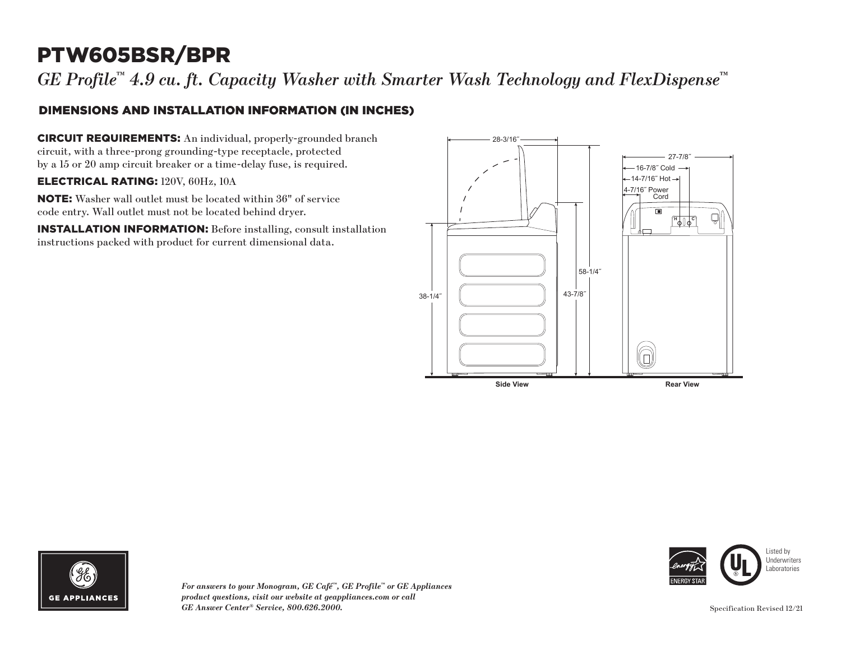# PTW605BSR/BPR

*GE Profile™ 4.9 cu. ft. Capacity Washer with Smarter Wash Technology and FlexDispense™*

### DIMENSIONS AND INSTALLATION INFORMATION (IN INCHES)

CIRCUIT REQUIREMENTS: An individual, properly-grounded branch circuit, with a three-prong grounding-type receptacle, protected by a 15 or 20 amp circuit breaker or a time-delay fuse, is required.

#### ELECTRICAL RATING: 120V, 60Hz, 10A

NOTE: Washer wall outlet must be located within 36" of service code entry. Wall outlet must not be located behind dryer.

INSTALLATION INFORMATION: Before installing, consult installation instructions packed with product for current dimensional data.





*For answers to your Monogram, GE Café™, GE Profile™ or GE Appliances product questions, visit our website at geappliances.com or call GE Answer Center® Service, 800.626.2000.* Specification Revised 12/21



Listed by Underwriters Laboratories